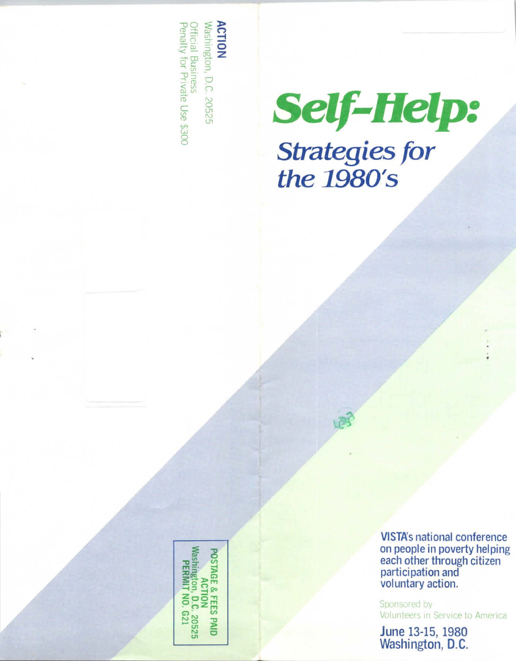**ACTION**<br>Washington, D.C. 20525 Official Business<br>Penalty for Private Use \$300



**VISTA's national conference** on people in poverty helping each other through citizen<br>participation and<br>voluntary action.

Sponsored by Volunteers in Service to America

June 13-15, 1980 Washington, D.C.

Vashington, D.C. 20525<br>Persant No. C. 20525 **POSTAGE & FEES PAID** PERMIT NO. G21 **ACTION**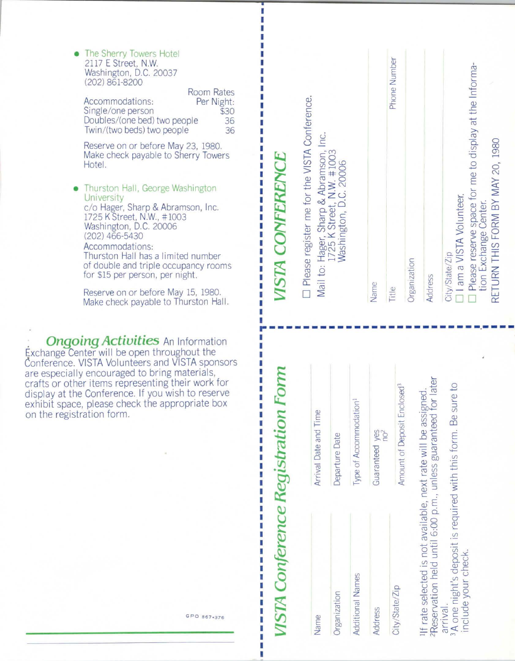• The Sherry Towers Hotel 2117 E Street, N.W. Washington, D.C. 20037  $(202) 861 - 8200$ 

|                              | Room Rates |
|------------------------------|------------|
| Accommodations:              | Per Night: |
| Single/one person            | \$30       |
| Doubles/(one bed) two people | 36         |
| Twin/(two beds) two people   | 36         |

 $D = D + D$ 

Reserve on or before May 23, 1980. Make check payable to Sherry Towers Hotel.

Thurston Hall, George Washington University c/o Hager, Sharp & Abramson, Inc.<br>1725 K Street, N.W., #1003<br>Washington, D.C. 20006  $(202)$  466-5430 Accommodations: Thurston Hall has a limited number of double and triple occupancy rooms for \$15 per person, per night.

Reserve on or before May 15, 1980. Make check payable to Thurston Hall.

**Ongoing Activities An Information** Exchange Center will be open throughout the Conference. VISTA Volunteers and VISTA sponsors are especially encouraged to bring materials, crafts or other items representing their work for display at the Conference. If you wish to reserve exhibit space, please check the appropriate box on the registration form.

GPO 867-376

ı n

П

| VISTA CONFERENCE                                                                                                                                |              |
|-------------------------------------------------------------------------------------------------------------------------------------------------|--------------|
| I Please register me for the VISTA Conference.<br>Mail to: Hager, Sharp & Abramson, Inc.<br>1725 K Street, N.W. #1003<br>Washington, D.C. 20006 |              |
| Name                                                                                                                                            |              |
| Title                                                                                                                                           | Phone Number |
| Organization                                                                                                                                    |              |
| <b>Address</b>                                                                                                                                  |              |
| 11 am a VISTA Volunteer.<br>City/State/Zip                                                                                                      |              |
| I Please reserve space for me to display at the Informa-<br>RETURN THIS FORM BY MAY 20, 1980<br>tion Exchange Center.                           |              |

| Name                            | Arrival Date and Time                                                                                                                                                                             |
|---------------------------------|---------------------------------------------------------------------------------------------------------------------------------------------------------------------------------------------------|
| Organization                    | Departure Date                                                                                                                                                                                    |
| Additional Names                | Type of Accommodation <sup>1</sup>                                                                                                                                                                |
| Address                         | Guaranteed yes<br>no <sup>2</sup>                                                                                                                                                                 |
| City/State/Zip                  | Amount of Deposit Enclosed <sup>3</sup>                                                                                                                                                           |
| include your check.<br>arrival. | If rate selected is not available, next rate will be assigned.<br>PReservation held until 6:00 p.m., unless guaranteed for later<br>3A one night's deposit is required with this form. Be sure to |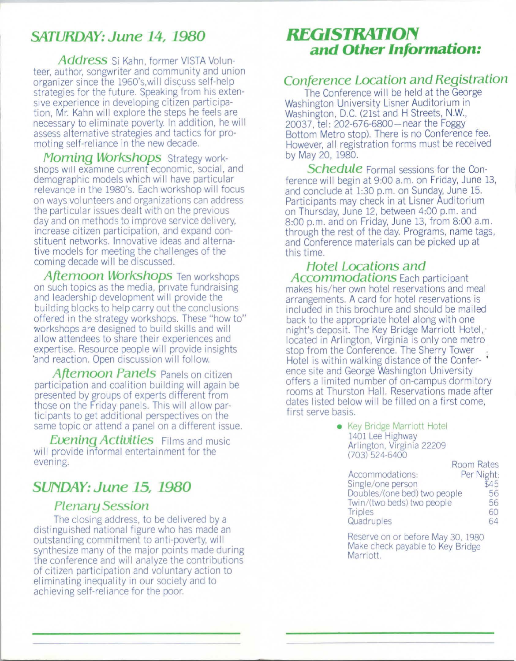# **SATURDAY: June 14, 1980**

**Address** Si Kahn, former VISTA Volunteer, author, songwriter and community and union organizer since the 1960's,will discuss self-help strategies for the future. Speaking from his extensive experience in developing citizen participation, Mr. Kahn will explore the steps he feels are necessary to eliminate poverty. In addition, he will assess alternative strategies and tactics for promoting self-reliance in the new decade.

**Morning Workshops** Strategy workshops will examine current economic, social, and demographic models which will have particular relevance in the 1980's. Each workshop will focus on ways volunteers and organizations can address the particular issues dealt with on the previous day and on methods to improve service delivery, increase citizen participation, and expand constituent networks. Innovative ideas and alternative models for meeting the challenges of the coming decade will be discussed.

**Afternoon Workshops** Ten workshops on such topics as the media, private fundraising and leadership development will provide the building blocks to help carry out the conclusions offered in the strategy workshops. These "how to" workshops are designed to build skills and will allow attendees to share their experiences and expertise. Resource people will provide insights ·and reaction. Open discussion will follow.

**Afternoon Panels** Panels on citizen participation and coalition building will again be presented by groups of experts different from those on the Friday panels. This will allow participants to get additional perspectives on the same topic or attend a panel on a different issue.

**Evening Activities** Films and music will provide informal entertainment for the evening.

# **SUNDAY: June 15, 1980**

### **Plenary Session**

The closing address, to be delivered by a distinguished national figure who has made an outstanding commitment to anti-poverty, will synthesize many of the major points made during the conference and will analyze the contributions of citizen participation and voluntary action to eliminating inequality in our society and to achieving self-reliance for the poor.

# *REGISTRATION* **and Other Information:**

### **Conference Location and Registration**

The Conference will be held at the George Washington University Lisner Auditorium in Washington, D.C. (21st and H Streets, **N.W.,**  20037, tel: 202-676-6800 - near the Foggy Bottom Metro stop). There is no Conference fee. However, all registration forms must be received by May 20, 1980.

**Schedule** Formal sessions for the Conference will begin at 9:00 a.m. on Friday, June 13, and conclude at 1:30 p.m. on Sunday, June 15. Participants may check in at Lisner Auditorium on Thursday, June 12, between 4:00 p.m. and 8:00 p.m. and on Friday, June 13, from 8:00 a.m. through the rest of the day. Programs, name tags, and Conference materials can be picked up at this time.

#### **Hotel Locations and Accommodations** Each participant makes his/her own hotel reservations and meal arrangements. A card for hotel reservations is included in this brochure and should be mailed back to the appropriate hotel along with one night's deposit. The Key Bridge Marriott Hotel, located in Arlington, Virginia is only one metro stop from the Conference. The Sherry Tower Hotel is within walking distance of the Confer- • ence site and George Washington University offers a limited number of on-campus dormitory rooms at Thurston Hall. Reservations made after dates listed below will be filled on a first come, first serve basis.

• Key Bridge Marriott Hotel 1401 Lee Highway Arlington, Virginia 22209 **(703) 524-6400** 

|                              |  | Room Rates |  |
|------------------------------|--|------------|--|
| Accommodations:              |  | Per Night: |  |
| Single/one person            |  | 545        |  |
| Doubles/(one bed) two people |  | 56         |  |
| Twin/(two beds) two people   |  | 56         |  |
| Triples                      |  | 60         |  |
| Quadruples                   |  |            |  |

Reserve on or before May 30, 1980 Make check payable to Key Bridge Marriott.